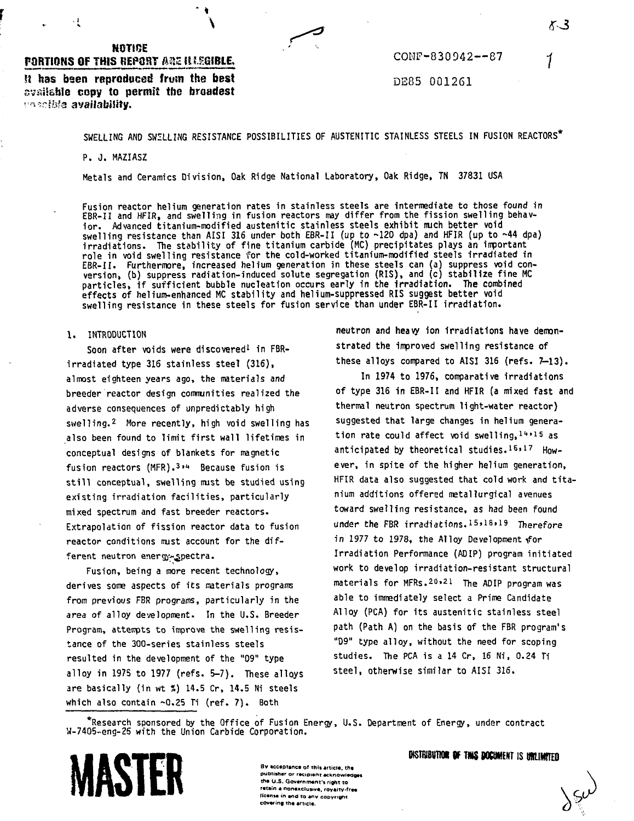# **NOTICE PORTIONS OF THIS BEPORT ARE ILLEGIBLE.**

 $\cdot$ !

**V**

**SI has been reproduced frusn the best available copy to permit the broadest -i ir-sbls availability.**

CONF-830942—87

DE85 001261

SMELLING AND SMELLING RESISTANCE POSSIBILITIES OF AUSTENITIC STAINLESS STEELS IN FUSION REACTORS\*

P. J. MAZIASZ

**Metals and Ceramics Division, Oak Ridge National Laboratory, Oak Ridge, TN 37831 USA**

**Fusion reactor helium generation rates in stainless steels are intermediate to those found in EBR-II and HFIR, and swelling in fusion reactors may differ from the fission swelling behavior. Advanced titanium-modified austenitic stainless steels exhibit nuch better void swelling resistance than AISI 316 under both EBR-II (up to -120 dpa) and HFIR (up to ~44 dpa) irradiations. The stability of fine titanium carbide (MC) precipitates plays an important role in void swelling resistance for the cold-worked titanium-modified steels irradiated in EBR-II. Furthermore, increased helium generation in these steels can (a) suppress void conversion, (b) suppress radiation-induced solute segregation (RIS), and (c) stabilize fine MC particles, if sufficient bubble nucleation occurs early in the irradiation. The combined effects of helium-enhanced MC stability and helium-suppressed RIS suggest better void swelling resistance in these steels for fusion service than under EBR-II irradiation.**

## **I. INTRODUCTION**

**Soon after voids were discovered<sup>1</sup> in FBR**irradiated type 316 stainless steel (316), almost eighteen years ago, the materials and breeder reactor design communities realized the adverse consequences of unpredictably high swelling.<sup>2</sup> More recently, high void swelling has also been found to limit first wall lifetimes in conceptual designs of blankets for magnetic fusion reactors (MFR).<sup>3,4</sup> Because fusion is still conceptual, swelling must be studied using existing irradiation facilities, particularly mixed spectrum and fast breeder reactors. Extrapolation of fission reactor data to fusion reactor conditions must account for the different neutron energy-spectra.

Fusion, being a more recent technology, derives some aspects of its materials programs from previous FBR programs, particularly in the area of alloy development. In the U.S. Breeder Program, attempts to improve the swelling resistance of the 300-series stainless steels resulted in the development of the "09" type alloy in 197S to 1977 (refs. 5-7). These alloys are basically (in wt %) 14.5 Cr, 14.5 Ni steels which also contain -0.25 Ti (ref. 7). Both

neutron and heavy ion irradiations have demonstrated the improved swelling resistance of these alloys compared to AISI 316 (refs. 7-13).

In 1974 to 1976, comparative irradiations of type 316 in EBR-II and HFIR (a mixed fast and thermal neutron spectrum light-water reactor) suggested that large changes in helium generation rate could affect void swelling,  $14*15$  as anticipated by theoretical studies. 16,17 However, in spite of the higher helium generation, HFIR data also suggested that cold work and titanium additions offered matallurgical avenues toward swelling resistance, as had been found under the FBR irradiations.15,18,19 Therefore in 1977 to 1978, the Alloy Development for Irradiation Performance (ADIP) program initiated work to develop irradiation-resistant structural materials for MFRs.20121. The ADIP program was able to immediately select a Prime Candidate Alloy (PCA) for its austenitic stainless steel path (Path A) on the basis of the FBR program's "D9" type alloy, without the need for scoping studies. The PCA is a 14 Cr, 16 Ni, 0.24 Ti steel, otherwise similar to AISI 31S.

\*Research sponsored by the Office of Fusion Energy, U.S. Department of Energy, under contract W-7405-eng-25 with the Union Carbide Corporation.



## **OISTRIBUTION OF THIS DOCUMENT IS UNLIMITED**

**3v acceptance of this article, the publisher or recioteiu Acknowledges the U.S. Government's right to** retain a nonexclusive, royalty-free **ffcenie in end to any copyright covering The article.**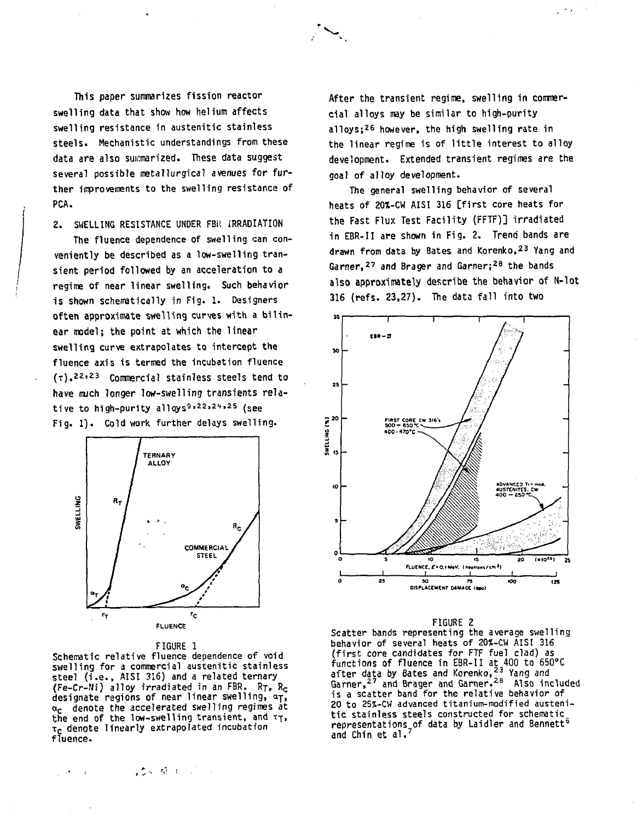This paper summarizes fission reactor swelling data that show how helium affects swelling resistance in austenitic stainless steels. Mechanistic understandings from these data are also summarized. These data suggest several possible metallurgical avenues for further improvements to the swelling resistance of PCA.

2. SWELLING RESISTANCE UNDER FBR IRRADIATION

The fluence dependence of swelling can conveniently be described as a low-swelling transient period followed by an acceleration to a regime of near linear swelling. Such behavior is shown schematically in Fig. 1. Designers often approximate swelling curves with a bilinear model; the point at which the linear swelling curve extrapolates to intercept the fluence axis is termed the incubation fluence  $(\tau)$ .<sup>22,23</sup> Commercial stainless steels tend to have mich longer low-swelling transients relative to high-purity alloys<sup>9,22,24,25</sup> (see Fig. 1). Cold work further delays swelling.





Schematic relative fluence dependence of void swelling for a commercial austenitic stainless steel (i.e., AISI 316) and a related ternary (Fe-Cr-Ni) alloy irradiated in an FBR. RT, R<sub>C</sub> designate regions of near linear swelling,  $a_T$ ,  $\alpha_c$  denote the accelerated swelling regimes at the end of the low-swelling transient, and  $\tau_T$ ,  $\tau_{\mathbf{C}}$  denote linearly extrapolated incubation fluence.

100 植 100 mm

After the transient regime, swelling in commercial alloys may be similar to high-purity alloys;<sup>26</sup> however, the high swelling rate in the linear regime is of little interest to alloy development. Extended transient regimes are the goal of alloy development.

 $\sim$   $\sim$ 

The general swelling behavior of several heats of 20%-CW AISI 316 [first core heats for the Fast Flux Test Facility (FFTF)] irradiated in EBR-II are shown in Fig. 2. Trend bands are drawn from data by Bates and Korenko,<sup>23</sup> Yang and Garner,<sup>27</sup> and Brager and Garner;<sup>28</sup> the bands also approximately describe the behavior of N-lot  $316$  (refs.  $23,27$ ). The data fall into two



### FIGURE 2

Scatter bands representing the average swelling behavior of several heats of 20S-CW AISI 316 (first core candidates for FTF fuel clad) as functions of fluence in EBR-II at 400 to 650°C after data by Bates and Korenko,<sup>23</sup> Yang and Garner,<sup>27</sup> and Brager and Garner.<sup>28</sup> Also included is a scatter band for the relative behavior of 20 to 25%-CW advanced titanium-modified austenitic stainless steels constructed for schematic representations of data by Laidler and Bennett<sup>6</sup> and Chin et al. <sup>7</sup>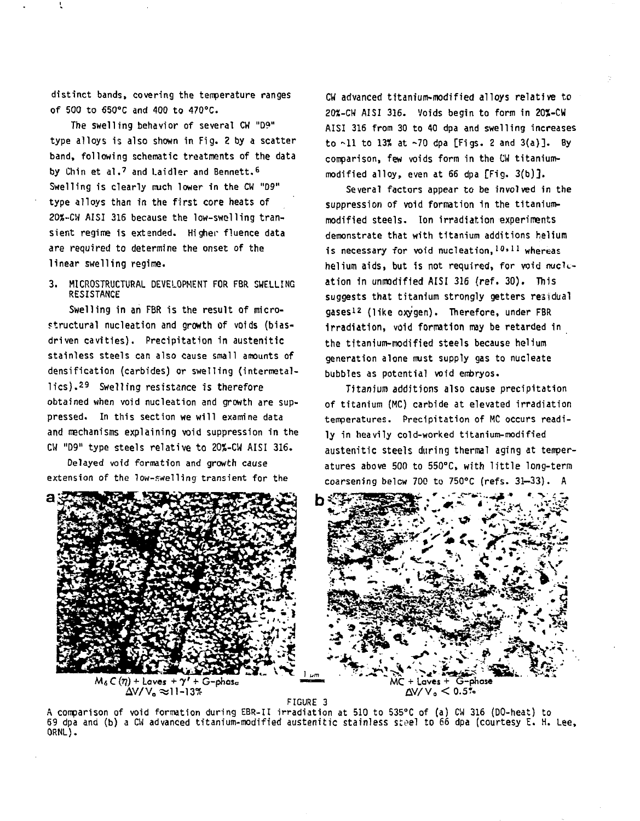distinct bands, covering the temperature ranges Of 500 to 650°C and 400 to 470°C.

The swelling behavior of several CW "09" type alloys is also shown in Fig. 2 by a scatter band, following schematic treatments of the data by Chin et al.<sup>7</sup> and Laidler and Bennett.<sup>6</sup> Swelling is clearly much lower in the CW "D9" type alloys than in the first core heats of 20S-CW AISI 316 because the low-swelling transient regime is extended. Higher fluence data are required to determine the onset of the linear swelling regime.

3. MICROSTRUCTURAL DEVELOPMENT FOR FBR SWELLING RESISTANCE

Swelling in an FBR is the result of microstructural nucleation and growth of voids (biasdriven cavities). Precipitation in austenitic stainless steels can also cause small amounts of densification (carbides) or swelling (intermetallics).<sup>29</sup> Swelling resistance is therefore obtained when void nucleation and growth are suppressed. In this section we will examine data and mechanisms explaining void suppression in the CW "D9" type steels relative to 20%-CW AISI 316.

Delayed void formation and growth cause extension of the low-swelling transient for the

CW advanced titanium-modified alloys relative to 20X-CW AISI 316. Voids begin to form in 20%-CW AISI 316 from 30 to 40 dpa and swelling increases to  $\sim$ 11 to 13% at  $\sim$ 70 dpa [Figs. 2 and 3(a)]. By comparison, few voids form in the CW titaniummodified alloy, even at 66 dpa [Fig. 3(b)].

Several factors appear to be involved in the suppression of void formation in the titaniummodified steels. Ion irradiation experiments demonstrate that with titanium additions helium is necessary for void nucleation, 10,11 whereas helium aids, but is not required, for void nucleation in unmodified AISI 316 (ref. 30). This suggests that titanium strongly getters residual qases<sup>12</sup> (like oxv<sup>i</sup>gen). Therefore, under FBR irradiation, void formation may be retarded in the titanium-modified steels because helium generation alone must supply gas to nucleate bubbles as potential void embryos.

Titanium additions also cause precipitation of titanium (MC) carbide at elevated irradiation temperatures. Precipitation of MC occurs readily in heavily cold-worked titanium-modified austenitic steels during thermal aging at temperatures above 500 to 550°C, with little long-term coarsening below 700 to 750°C (refs. 31-33). A



FIGURE 3

A comparison of void formation during EBR-II irradiation at 510 to 535°C of (a) CW 316 (DO-heat) to 69 dpa and (b) a CW advanced titanium-modified austenitic stainless steel to 66 dpa (courtesy E. H. Lee,<br>-ORNL).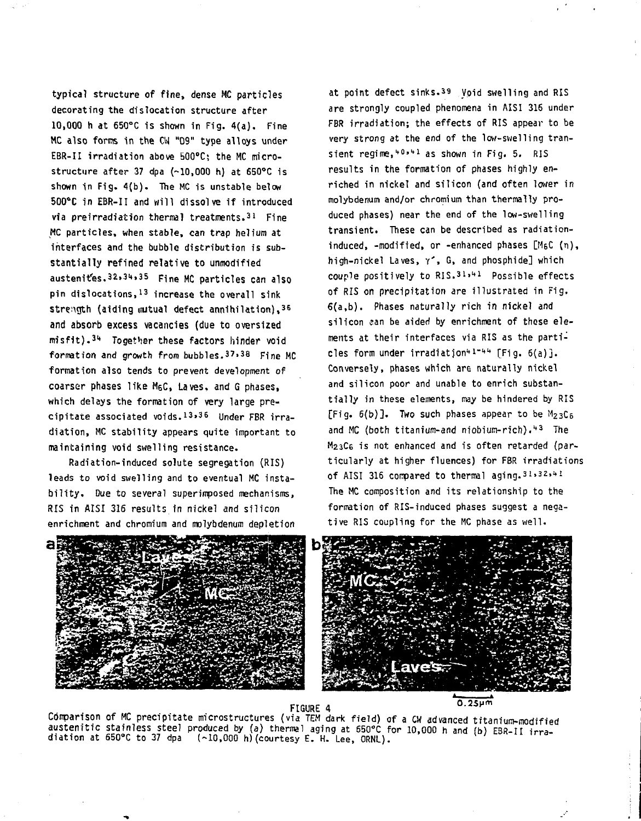typical structure of fine, dense MC particles decorating the dislocation structure after 10,000 h at 650°C is shown in Fig. 4(a). Fine MC also forms in the CW "09" type alloys under EBR-II irradiation above 500°C; the MC microstructure after 37 dpa (~10,000 h) at 650°C is shown in Fig. 4(b). The MC is unstable below 500°C in EBR-II and will dissolve if introduced via preirradiation thermal treatments.<sup>31</sup> Fine MC particles, when stable, can trap helium at interfaces and the bubble distribution is substantially refined relative to unmodified austenites. 32, 34, 35 Fine MC particles can also  $\mathsf{pin}$  dislocations. $^{13}$  increase the overall sink strength (aiding mutual defect annihilation), 36 and absorb excess vacancies (due to oversized misfit).<sup>34</sup> Together these factors hinder void formation and growth from bubbles.  $37.38$  Fine MC formation also tends to prevent development of coarser phases like M6C, Laves, and G phases, which delays the formation of very large precipitate associated voids.13.36 Under FBR irradiation, MC stability appears quite important to maintaining void swelling resistance.

Radiation-induced solute segregation (RIS) leads to void swelling and to eventual MC instability. Due to several superimposed mechanisms. RIS in AISI 316 results in nickel and silicon enrichment and chromium and molybdenum depletion

at point defect sinks.39 Void swelling and RIS are strongly coupled phenomena in AISI 316 under FBR irradiation; the effects of RIS appear to be very strong at the end of the low-swelling transient regime,<sup>40,41</sup> as shown in Fig. 5. RIS results in the formation of phases highly enriched in nickel and silicon (and often lower in molybdenum and/or chromium than thermally produced phases) near the end of the low-swelling transient. These can be described as radiationinduced, -modified, or -enhanced phases [M6C (n), high-nickel Laves,  $\gamma^*$ , G, and phosphide] which couple positively to  $RIS.31.41$  Possible effects of RIS on precipitation are illustrated in Fig, 6(a,b). Phases naturally rich in nickel and silicon can be aided by enrichment of these elements at their interfaces via RIS as the partinles form under irradiation<sup>41-44</sup> [Fig. 6(a)]. Conversely, phases which are naturally nickel and silicon poor and unable to enrich substantially in these elements, may be hindered by RIS [Fig.  $6(b)$ ]. Two such phases appear to be  $M_{23}C_6$ and MC (both titanium and niobium wich)."43 The M23C6 is not enhanced and is often retarded (particularly at higher fluences) for FBR irradiations of AISI 316 compared to thermal aging. 31.32.41 The MC composition and its relationship to the formation of RIS-induced phases suggest a negative RIS coupling for the MC phase as well.



FIGURE 4 °" 2SH <sup>m</sup>

Comparison of MC precipitate microstructures (via TEM dark field) of a CW advanced titanium-modified austenitic stainless steel produced by (a) thermal aging at 650°C for 10,000 h and (b) EBR-II irradiation at 650°C to 37 dpa (-10,000 h)(courtesy E. H. Lee, ORNL).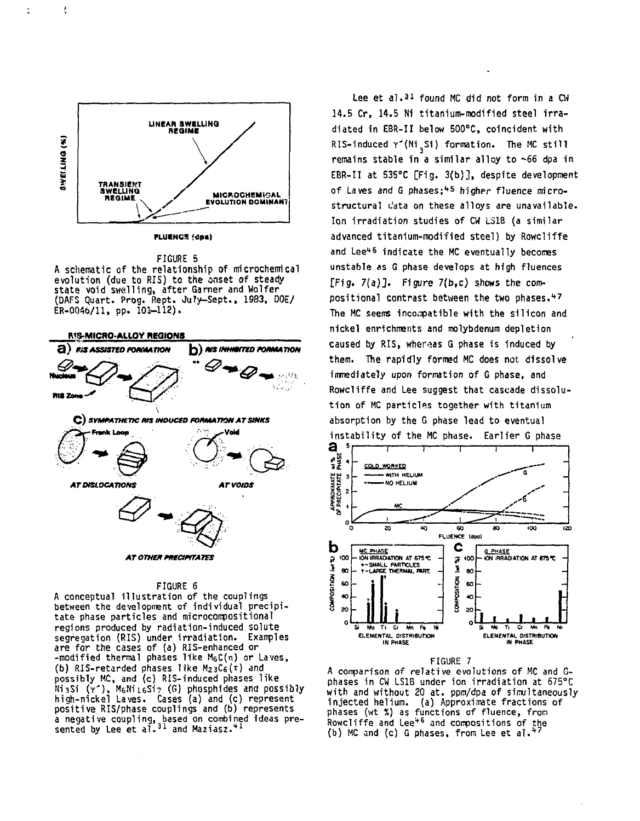

ł

 $\ddot{\cdot}$ 

**FLUENCS** (dee)

FIGURE 5 A schematic of the relationship of microchemical evolution (due to RIS) to the onset of steady state void swelling, after Garner and Wolfer (DAFS Quart. Prog. Rept. JuJy-Sept., 1983, DOE/  $ER-0046/11$ , pp.  $101-112$ ).



#### FIGURE 6

A conceptual illustration of the couplings between the development of individual precipitate phase particles and microconpositional regions produced by radiation-induced solute segregation (RIS) under irradiation. Examples are for the cases of (a) RIS-enhanced or  $-$ modified thermal phases like  $M_6C(n)$  or Laves, (b) RIS-retarded phases like  $M_{23}C_6(\tau)$  and possibly MC, and (c) RIS-induced phases like Ni3Si (Y') , M6Nii6Si? (G) phosphides and possibly high-nickel Laves. Cases (a) and (c) represent positive RIS/phase couplings and (b) represents a negative coupling, based on combined ideas pre-<br>sented by Lee et al.<sup>31</sup> and Maziasz.<sup>41</sup>

Lee et al.<sup>31</sup> found MC did not form in a CW 14.5 Cr, 14.5 Ni titanium-modified steel irradiated in EBR-II below 500°C, coincident with RIS-induced  $\Upsilon'(\text{Ni}_3\text{Si})$  formation. The MC still remains stable in a similar alloy to ~66 dpa in EBR-II at 535°C [Fig. 3(b)], despite development of Laves and G phases:<sup>45</sup> higher fluence microstructural c'ata on these alloys are unavailable. Ion irradiation studies of CW L31B (a similar advanced titanium-modified steel) by Rowcliffe and Lee<sup>46</sup> indicate the MC eventually becomes unstable as G phase develops at high fluences [Fig. 7(a)]. Figure 7(b,c) shows the com--<br>positional contrast between the two phases.<sup>47</sup> The MC seems incompatible with the silicon and nickel enrichments and molybdenum depletion caused by RIS, whereas G phase is induced by them. The rapidly formed MC does not dissolve immediately upon formation of G phase, and Rowcliffe and Lee suggest that cascade dissolution of MC particles together with titanium absorption by the G phase lead to eventual instability of the MC phase. Earlier G phase



## FIGURE 7

A comparison of relative evolutions of MC and Gphases in CW LS1B under ion irradiation at 675°C with and without 20 at. ppm/dpa of simultaneously injected helium, (a) Approximate fractions of phases (wt %) as functions of fluence, fron .<br>Rowcliffe and Lee<sup>46</sup> and compositions of the<br>(b) MC and (c) G phases, from Lee et al.\*<sup>7</sup>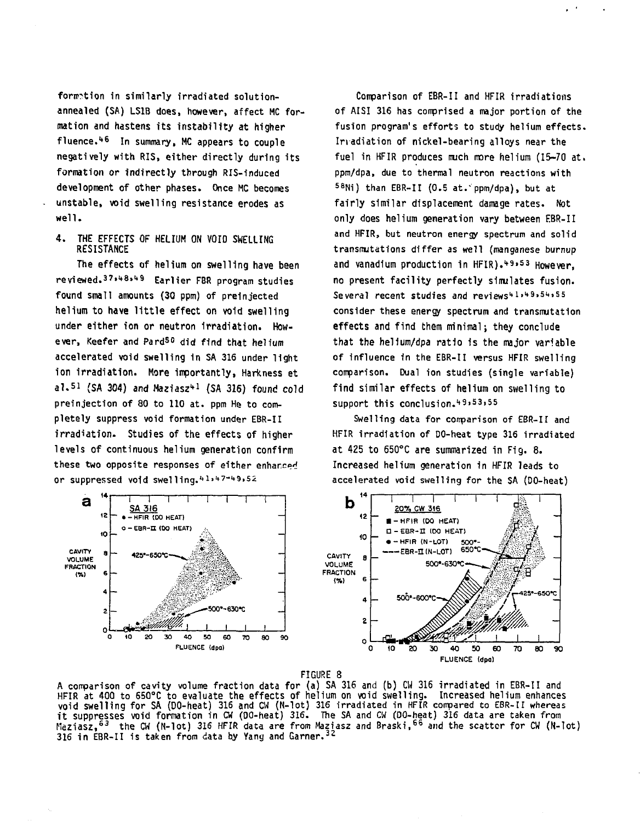formation in similarly irradiated solutionannealed (SA) LS1B does, however, affect MC formation and hastens its instability at higher fluence.<sup>1</sup> \* 6 In summary, MC appears to couple negatively with RIS, either directly during its formation or indirectly through RIS-induced development of other phases. Once MC becomes unstable, void swelling resistance erodes as well.

4. THE EFFECTS OF HELIUM ON VOID SWELLING RESISTANCE

The effects of helium on swelling have been reviewed.<sup>37,48,49</sup> Earlier FBR program studies found small amounts (30 ppm) of preinjected helium to have little effect on void swelling under either ion or neutron irradiation. However, Keefer and Pard<sup>50</sup> did find that helium accelerated void swelling in SA 316 under light ion irradiation. More importantly, Harkness et al.<sup>51</sup> (SA 304) and Maziasz<sup>41</sup> (SA 316) found cold preinjection of 80 to 110 at. ppm He to completely suppress void formation under EBR-II irradiation. Studies of the effects of higher levels of continuous helium generation confirm these two opposite responses of either enhanced or suppressed void swelling.<sup>41,47+49,52</sup>

Comparison of EBR-II and HFIR irradiations of AISI 316 has conprised a major portion of the fusion program's efforts to study helium effects. Irradiation of nickel-bearing alloys near the fuel in HFIR produces much more helium (15-70 at. ppm/dpa, due to thermal neutron reactions with SBNi) than EBR-II (0.5 at." ppm/dpa), but at fairly similar displacement damage rates. Not only does helium generation vary between EBR-II and HFIR, but neutron energy spectrum and solid transmutations differ as well (manganese burnup and vanadium production in HFIR).49,53 However. no present facility perfectly simulates fusion. Several recent studies and reviews<sup>41,49,54,55</sup> consider these energy spectrum and transmutation effects and find them minimal; they conclude that the helium/dpa ratio is the major variable of influence in the EBR-II versus HFIR swelling comparison. Dual ion studies (single variable) find similar effects of helium on swelling to support this conclusion.49,53,55

Swelling data for comparison of EBR-II and HFIR irradiation of DO-heat type 316 irradiated at 425 to 650°C are summarized in Fig. 8. Increased helium generation in HFIR leads to accelerated void swelling for the SA (DO-heat)



#### FIGURE 8

A comparison of cavity volume fraction data for (a) SA 316 and (b) CW 316 irradiated in EBR-II and HFIR at 400 to 650°C to evaluate the effects of helium on void swelling. Increased helium enhances void swelling for SA (DO-heat) 316 and CW (N-lot) 316 irradiated in HFIR compared to EBR-II whereas it suppresses void formation in CW (DO-heat) 316. The SA and CW (DO-heat) 316 data are taken from Maziasz,<sup>63</sup> the CW (N-lot) 316 HFIR data are from Maziasz and Braski,<sup>66</sup> and the scatter for CW (N-lot) 316 in EBR-II is taken from data by Yang and Garner. 32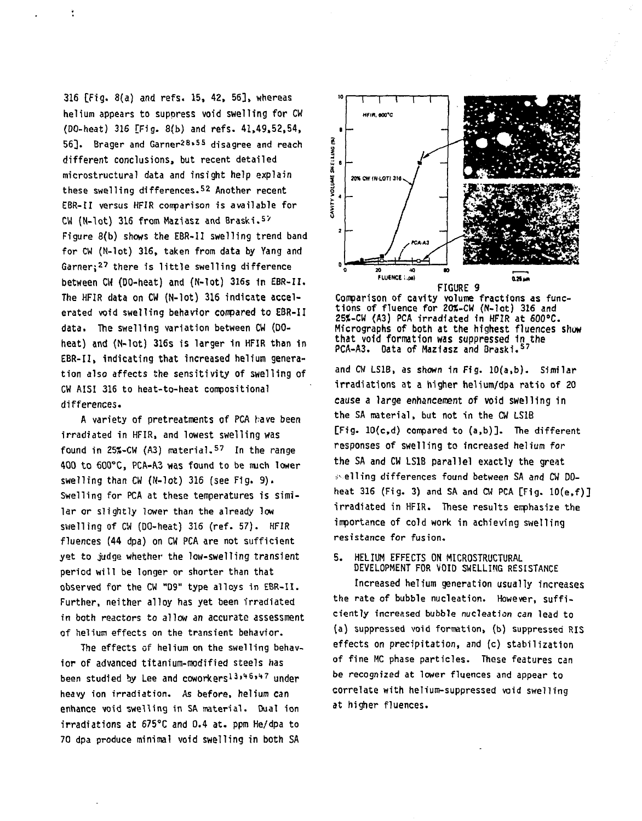316 [Fig. 8(a) and refs. 15, 42, 56], whereas helium appears to suppress void swelling for CW (DO-heat) 316 [Fig. 8(b) and refs. 41,49,52,54, 56]. Brager and Garner<sup>28,55</sup> disagree and reach different conclusions, but recent detailed microstructural data and insight help explain these swelling differences.<sup>52</sup> Another recent EBR-tl versus HFIR comparison is available for  $CW (N-1ot)$  316 from Maziasz and Braski.<sup>57</sup> Figure 8(b) shows the EBR-II swelling trend band for CW (N-lot) 316, taken from data by Yang and Garner:<sup>27</sup> there is little swelling difference between CW (DO-heat) and (N-lot) 316s in EBR-II. The HFIR data on CW (N-lot) 316 indicate accelerated void swelling behavior conpared to EBR-II data. The swelling variation between CW (DOheat) and (N-lot) 316s is larger 1n HFIR than in EBR-II, indicating that increased helium generation also affects the sensitivity of swelling of CW AISI 316 to heat-to-heat compositional differences.

÷,

A variety of pretreatments of PCA have been irradiated in HFIR, and lowest swelling was found in 25%-CW (A3) material.<sup>57</sup> In the range 400 to 600°C, PCA-A3 was found to be much lower swelling than CW (N-lot) 316 (see Fig. 9). Swelling for PCA at these temperatures is similar or slightly lower than the already low swelling of CW (DO-heat) 316 (ref. 57). HFIR fluences (44 dpa) on CW PCA are not sufficient yet to judge whether the low-swelling transient period will be longer or shorter than that observed for the CW <sup>M</sup>D9" type alloys in EBR-II. Further, neither alloy has yet been irradiated in both reactors to allow an accurate assessment of helium effects on the transient behavior.

The effects of helium on the swelling behavior of advanced titanium-modified steels has been studied by Lee and coworkers13,46,47 under heavy ion irradiation. As before, helium can enhance void swelling in SA material. Dual ion irradiations at 675°C and 0.4 at. ppm He/dpa to 70 dpa produce minimal void swelling in both SA

![](_page_6_Figure_3.jpeg)

![](_page_6_Figure_4.jpeg)

**and CW LS1B, as shown in Fig. 10(a,b). Similar irradiations at a higher helium/dpa ratio of 20 cause a large enhancement of void swelling in the SA material, but not in the CW LS1B [Fig. 10(c,d) compared to (a.b)]. The different responses of swelling to increased helium for the SA and CW LS1B parallel exactly the great i> ell ing differences found between SA and CW DOheat 316 (Fig. 3) and SA and CW PCA [Fig. 10(e,f)] irradiated in HFIR. These results enphasize the importance of cold work in achieving swelling resistance for fusion.**

## **5. HELIUM EFFECTS ON MICROSTRUCTURAL DEVELOPMENT FOR VOID SWELLING RESISTANCE**

**Increased helium generation usually increases the rate of bubble nucleation. However, sufficiently increased bubble nucleation can lead to (a) suppressed void formation, (b) suppressed RIS effects on precipitation, and (c) stabilization of fine MC phase particles. These features can be recognized at lower fluences and appear to correlate with helium-suppressed void swelling at higher fluences.**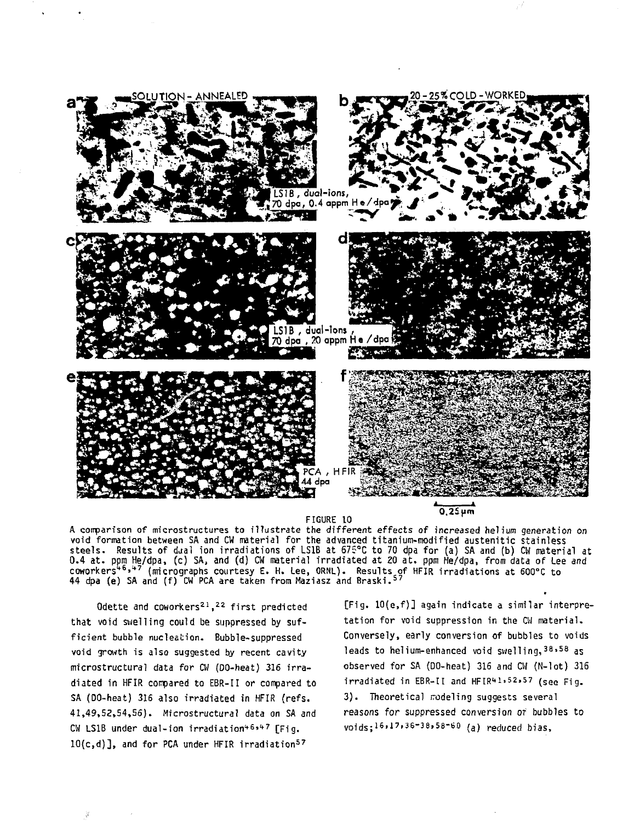![](_page_7_Figure_0.jpeg)

rigure [v<br>\*\*\* 4:ee A comparison of microstructures to illustrate the different effects of increased helium generation on void formation between SA and CW material for the advanced titanium-modified austenitic stainless steels. Results of djal ion irradiations of LS1B at 67S°C to 70 dpa for (a) SA and (b) CW material at 0.4 at. pom He/dpa, (c) SA, and (d) CW material irradiated at 20 at. ppm He/dpa, from data of Lee and coworkers<sup>46,47</sup> (micrographs courtesy E. H. Lee, ORNL). Results of HFIR irradiations at 600°C to<br>44 dp<mark>a (e) SA and (f) CW PCA are taken from Mazi</mark>asz and Braski.<sup>57</sup>

Odette and coworkers<sup>21</sup>,<sup>22</sup> first predicted that void swelling could be suppressed by sufficient bubble nucleation. Bubble-suppressed void growth is also suggested by recent cavity microstructural data for CW (DO-heat) 316 irradiated in HFIR compared to EBR-II or compared to SA (DO-heat) 316 also irradiated in HFIR (refs. 41,49,52,54,56). Microstructural data on SA and CW LS1B under dual-ion irradiation<sup>46,47</sup> [Fig. 10(c,d)], and for PCA under HFIR irradiation<sup>57</sup>

[Fig. 10(e,f)] again indicate a similar interpretation for void suppression in the CW material. Conversely, early conversion of bubbles to voids lead<mark>s to helium-enhanced void swelling,<sup>38,58</sup> as</mark> observed for SA (DO-heat) 316 and CW (N-lot) 316 irradiated in EBR-II and HFIR $41.52.57$  (see Fig. 3). Theoretical modeling suggests several reasons for suppressed conversion of bubbles to voids;i6.17,36-38,58-60 (a) reduced bias,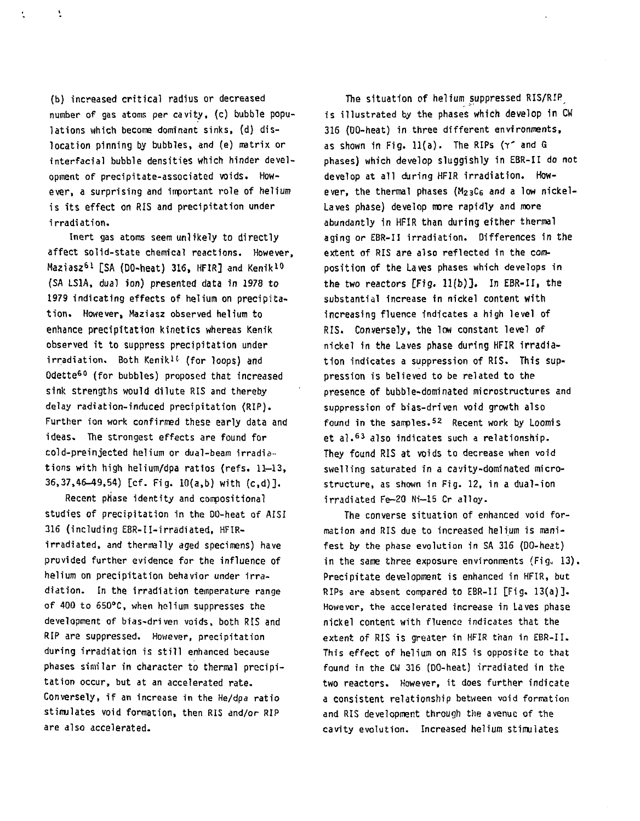(b) increased critical radius or decreased number of gas atoms per cavity, (c) bubble populations which become dominant sinks, (d) dislocation pinning by bubbles, and (e) matrix or interfacial bubble densities which hinder development of precipitate-associated voids. However, a surprising and important role of helium is its effect on RIS and precipitation under irradiation.

 $\overline{\mathbf{r}}$ 

 $\tilde{\mathbf{r}}$ 

Inert gas atoms seem unlikely to directly affect solid-state chemical reactions. However, Maziasz<sup>61</sup> [SA (DO-heat) 316, HFIR] and Kenik<sup>10</sup> (SA LS1A, dual ion) presented data in 1978 to 1979 indicating effects of helium on precipitation. However, Maziasz observed helium to enhance precipitation kinetics whereas Kenik observed it to suppress precipitation under irradiation. Both Kenik<sup>11</sup> (for loops) and Odette<sup>60</sup> (for bubbles) proposed that increased sink strengths would dilute RIS and thereby delay radiation-induced precipitation (RIP). Further ion work confirmed these early data and ideas. The strongest effects are found for cold-preinjected helium or dual-beam irradiations with high helium/dpa ratios (refs.  $11-13$ , 36,37,46-49,54) [cf. Fig. 10(a,b) with (c,d)].

Recent phase identity and compositional studies of precipitation in the DO-heat of AISI 316 (including EBR-II-irradiated, HFIRirradiated, and thermally aged specimens) have provided further evidence for the influence of helium on precipitation behavior under irradiation. In the irradiation temperature range of 400 to 6S0°C, when helium suppresses the development of bias-driven voids, both RIS and RIP are suppressed. However, precipitation during irradiation is still enhanced because phases similar in character to thermal precipitation occur, but at an accelerated rate. Conversely, if an increase in the He/dpa ratio stimulates void formation, then RIS and/or RIP are also accelerated.

The situation of helium suppressed RIS/RIP\_ is illustrated by the phases which develop in CW 316 (DO-heat) in three different environments, as shown in Fig. ll(a). The RIPs (Y' and G phases) which develop sluggishly in EBR-II do not develop at all during HFIR irradiation. However, the thermal phases  $(M_{23}C_6$  and a low nickel-Laves phase) develop more rapidly and more abundantly in HFIR than during either thermal aging or EBR-II irradiation. Differences in the extent of RIS are also reflected in the composition of the Laves phases which develops in the two reactors  $[Fig. 11(b)]$ . In EBR-II, the substantial increase in nickel content with increasing fluence Indicates a high level of RIS. Conversely, the low constant level of nickel in the Laves phase during HFIR irradiation indicates a suppression of RIS. This suppression is believed to be related to the presence of bubble-dominated microstructures and suppression of bias-driven void growth also suppression of prosentiven void growth also<br>Cent in the samples 52 Part work by Loomis et al. 6 3 also indicates such a relationship. Note They found RIS at voids to decrease when void swelling saturated in a cavity-dominated microstructure, as shown in Fig. 12, in a dual-ion irradiated Fe-20 Ni-15 Cr alloy.

The converse situation of enhanced void formation and RIS due to increased helium is manifest by the phase evolution in SA 316 (DO-heat) in the same three exposure environments  $(Fig. 13)$ . Precipitate development is enhanced in HFIR, but RIPs are absent compared to EBR-II [Fig. 13(a)]. However, the accelerated increase in Laves phase nickel content with fluence indicates that the extent of RIS is greater in HFIR than in EBR-II. This effect of helium on RIS is opposite to that found in the CW 316 (DO-heat) irradiated in the two reactors. However, it does further indicate a consistent relationship between void formation and RIS development through the avenue of the cavity evolution. Increased helium stimulates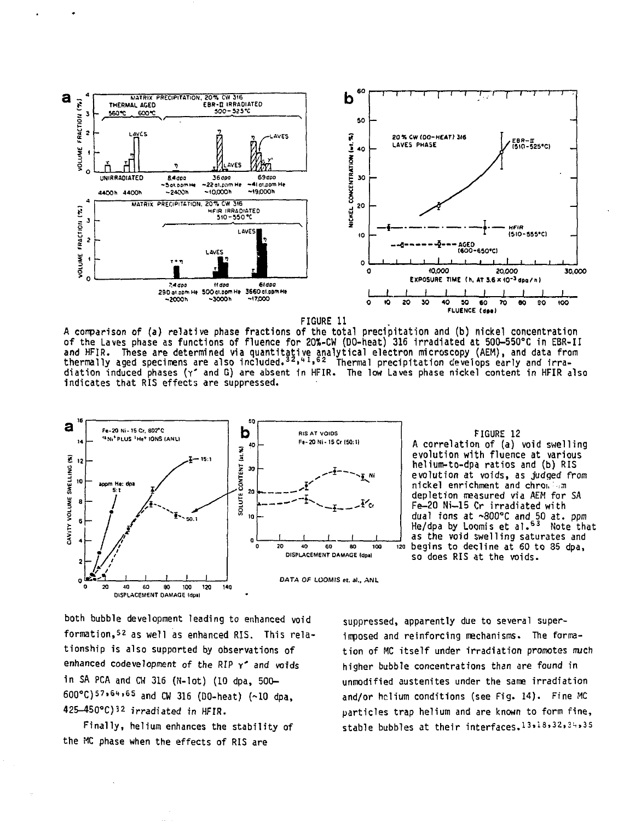![](_page_9_Figure_0.jpeg)

![](_page_9_Figure_1.jpeg)

**A comparison of (a) relative phase fractions of the total precipitation and (b) nickel concentration of the Laves phase as functions of fluence for 20%-CW (DO-heat) 316 Irradiated at 500-550°C in EBR-II** and HFIR. These are determined via quantitative analytical electron microscopy (AEM), and data from<br>thermally aged specimens are also included.<sup>32,41,62</sup> Thermal precipitation develops early and irra**diation induced phases (Y\* and G) are absent 1n HFIR. The low Laves phase nickel content in HFIR also indicates that RIS effects are suppressed.**

![](_page_9_Figure_3.jpeg)

![](_page_9_Figure_4.jpeg)

both bubble development leading to enhanced void formation,52 as well as enhanced RIS. This relationship is also supported by observations of enhanced codevelopment of the RIP  $\gamma^*$  and voids in SA PCA and CW 316 (N-lot) (10 dpa, 500- 600°C)57.6t,65 and cw 316 (no-heat) (-10 dpa, 425-450°C)32 irradiated in HFIR.

Finally, helium enhances the stability of the MC phase when the effects of RIS are

suppressed, apparently due to several superimposed and reinforcing mechanisms. The formation of MC itself under irradiation promotes much higher bubble concentrations than are found in unmodified austenites under the same irradiation and/or helium conditions (see Fig. 14). Fine MC particles trap helium and are known to form fine, stable bubbles at their interfaces.13,18,32,3^,35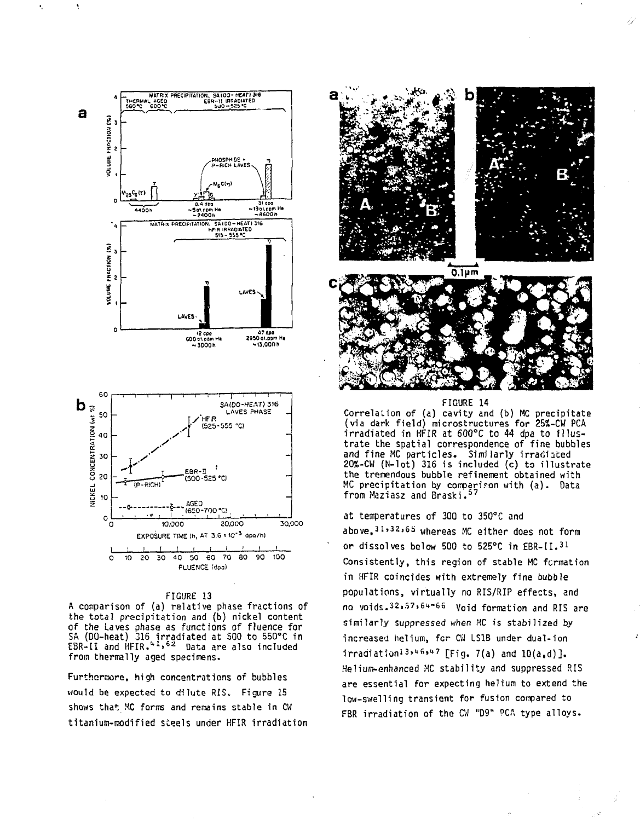![](_page_10_Figure_0.jpeg)

## **FIGURE 13**

**A coirparison of (a) relative phase fractions of the total precipitation and (b) nickel content of the Laves phase as functions of fluence for SA (DO-heat) 316 irradiated at 500 to 550°C in EBR-II and HFIR."<sup>1</sup>. <sup>62</sup> Data are also included from thermally aged specimens.**

**Furthermore, high concentrations of bubbles would be expected to dilute RIS. Figure 15 shows that MC forms and remains stable in CU titanium-modified steels under HFIR irradiation**

![](_page_10_Picture_4.jpeg)

![](_page_10_Picture_5.jpeg)

**FIGURE 14** Correlation of (a) cavity and (b) MC precipitate (via dark field) microstructures for 25%-CW PCA irradiated in HFIR at 600°C to 44 dpa to illustrate the spatial correspondence of fine bubbles and fine MC particles. Similarly irradiated 20%-CW (N-lot) 316 is included (c) to illustrate the tremendous bubble refinement obtained with MC precipitation by comparison with (a). Data from Maziasz and Braski.<sup>57</sup>

at temperatures of 300 to 350°C and above,<sup>3</sup> i»3z»6s whereas MC either does not form or dissolves below 500 to 525°C in EBR-II.31 Consistently, this region of stable MC fcrmation in HFIR coincides with extremely fine bubble populations, virtually no RIS/RIP effects, and no voids.<sup>32,57,64-66</sup> Void formation and RIS are similarly suppressed when MC is stabilized by increased helium, for CW LS1B under dual-ion irradiation<sup>13,46,47</sup> [Fig. 7(a) and  $10(a,d)$ ]. Helium-enhanced MC stability and suppressed RIS are essential for expecting helium to extend the low-swelling transient for fusion compared to FBR irradiation of the CU "D9" PCA type alloys.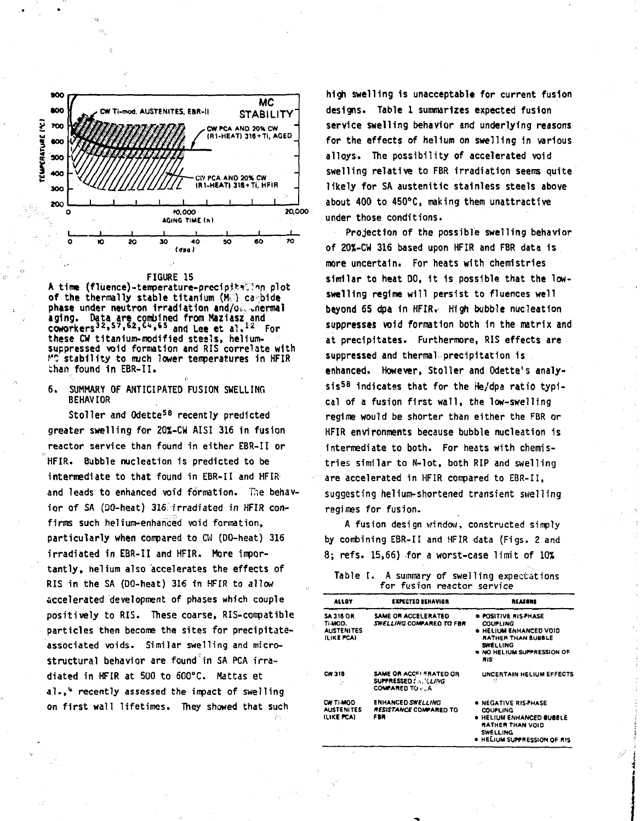![](_page_11_Figure_0.jpeg)

![](_page_11_Figure_1.jpeg)

A time (fluence)-temperature-precipiteCinn plot of the thermally stable titanium  $(M_1^*)$  ca bide **phase** under neutron Irradiation and/0;, vriermal aging. Data a<del>re</del> combined from Maziasz and<br>coworkers<sup>32,57,62,64,65</sup> and Lee et al.<sup>12</sup> For these CM titanium-modified steals, heliumsuppressed void formation and RIS correlate with PC stability to much lower temperatures in HFIR than found 1n EBR-II.

6. SUMMARY OF ANTICIPATED FUSION SWELLING BEHAVIOR

Stoller and Odette<sup>58</sup> recently predicted greater swelling for 20X-CU AISI 316 in fusion reactor service than found in either EBR-II or HFIR. Bubble nucleation is predicted to be intermediate to that found in EBR-II and HFIR and leads to enhanced void formation. The behavior of SA (QO-heat) 316: irradiated in HFIR confirms such helium-enhanced void formation, particularly when compared to CW (DO-heat) 316 irradiated in EBR-II and HFIR. More importantly, helium also accelerates the effects of RIS in the SA (DO-heat) 316 in HFIR to allow accelerated development of phases which couple positively to RIS. These coarse, RIS-compatibie particles then become the sites for precipitateassociated voids. Similar swelling and micro-Structural behavior are found in SA PCA irradiated in HFIR at 500 to 600°C. Mattas et al. <sup>4</sup> recently assessed the impact of swelling on first wall lifetimes. They showed that such

high swelling is unacceptable for current fusion designs. Table 1 summarizes expected fusion service swelling behavior and underlying reasons for the effects of helium on swelling in various alloys. The possibility of accelerated void swelling relative to FBR irradiation seems quite likely for SA austenitic stainless steels above about 400 to 450°C, making them unattractive under those conditions.

Projection of the possible swelling behavior of 20%-CW 316 based upon HFIR and FBR data 1s more uncertain. For heats with chemistries similar to heat DO, it is possible that the lowswelling regime will persist to fluences well beyond 65 dpa In HFIR. High bubble nucleation suppresses void formation both in the matrix and at precipitates. Furthermore, RIS effects are suppressed and thermal precipitation is enhanced. However, Stoller and Odette's analy- $\sin^{58}$  indicates that for the He/dpa ratio typical of a fusion first wall, the low-swelling regime would be shorter than either the FBR or HFIR environments because bubble nucleation is intermediate to both. For heats with chemistries similar to N-lot, both RIP and swelling are accelerated in HFIR compared to EBR-II, suggesting helium-shortened transient swelling regimes for fusion.

A fusion design window, constructed simply by combining EBR-II and HFIR data (Figs. 2 and 8; refs. 15,66) for a worst-case limit of 10%

|  | Table I. A summary of swelling expectations |  |
|--|---------------------------------------------|--|
|  | for fusion reactor service                  |  |

| <b>ALLOY</b>                                                          | <b>EXPECTED REHAVIOR</b>                                          | <b>REASONS</b>                                                                                                                                         |
|-----------------------------------------------------------------------|-------------------------------------------------------------------|--------------------------------------------------------------------------------------------------------------------------------------------------------|
| <b>SA 316 OR</b><br>TI-MOD.<br><b>AUSTENITES</b><br><b>ILIKE PCA)</b> | SAME OR ACCELERATED<br><b>SWELLING COMPARED TO FBR</b>            | . POSITIVE RIS PHASE<br><b>COUPLING</b><br><b>. HELIUM ENHANCED VOID</b><br>RATHER THAN BUBBLE<br><b>SWELLING</b><br>. NO HELIUM SUPPRESSION OF<br>RIS |
| CW 315<br>Ωñ                                                          | SAME OR ACCFI FRATED OR<br>SUPPRESSED! A. LL/NG<br>COMPARED TO  6 | UNCERTAIN HELIUM EFFECTS<br>Ħ                                                                                                                          |
| CW TI-MOD<br><b>AUSTENITES</b><br>(LIKE FCA)                          | <b>ENHANCED SWELLING</b><br>RESISTANCE COMPARED TO<br>FER         | . NEGATIVE RIS-PHASE<br><b>COUPLING</b><br>. HELIUM ENHANCED BUBBLE<br>RATHER THAN VOID<br><b>SWELLING</b><br>. HELIUM SUPPRESSION OF RIS              |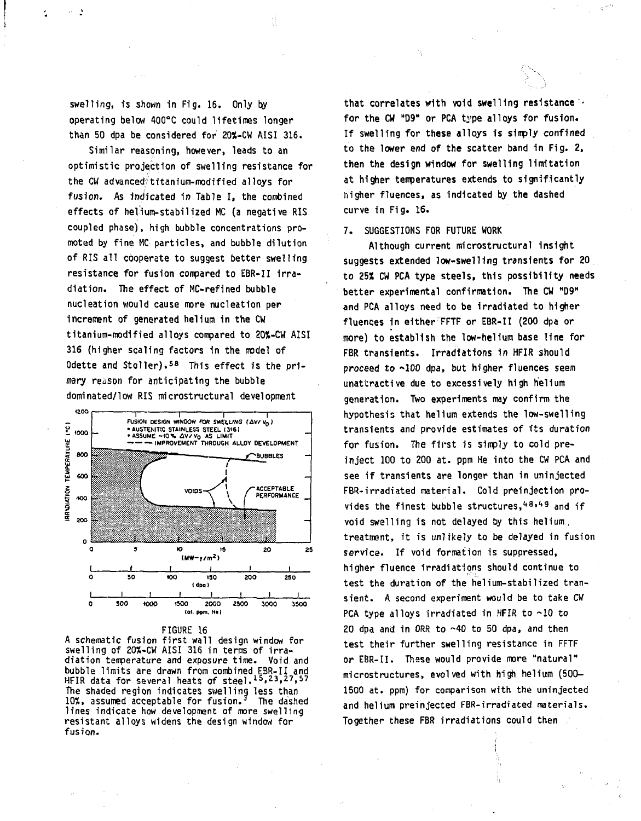swelling, is shown in Fig. 16. Only by operating below 4OO°C could lifetimes longer than 50 dpa be considered for 20%-CW AISI 316.

 $\cdot$ 

Similar reasoning, however, leads to an optimistic projection of swelling resistance for the CW advanced titanium-modified alloys for fusion. As indicated in Table I, the combined effects of helium-stabilized MC (a negative RIS coupled phase), high bubble concentrations promoted by fine MC particles, and bubble dilution of RIS all cooperate to suggest better swelling resistance for fusion compared to EBR-II irradiation. The effect of MC-refined bubble nucleation would cause more nucleation per increment of generated helium in the CW titanium-modified alloys compared to 20%-CW AISI 316 (higher scaling factors 1n the model of odette and Stoller).<sup>58</sup> This effect is the primary reason for anticipating the bubble dominated/low RIS microstructural development

![](_page_12_Figure_2.jpeg)

**FIGURE 16**

**A schematic fusion first wall design window for swelling of 20%-CW AISI 316 in terms of irradiation temperature and exposure time. Void and bubble limits are drawn from combined EBR-II and HFIR data for several heats of steel.l5,23,27,57 The shaded region indicates swelling less than 10S, assumed acceptable for fusion. The dashed lines indicate how development of more swelling resistant alloys widens the design window for fusion.**

**that correlates with void swelling resistance for the CW "D9" or PCA type alloys for fusion. If swelling for these alloys is simply confined to the lower end of the scatter band in Fig. 2, then the design window for swelling limitation at higher temperatures extends to significantly higher fluences, as indicated by the dashed curve in Fig. 16.**

## **7. SUGGESTIONS FOR FUTURE WORK**

**Although current microstructural insight suggests extended low-swelling transients for 20 to 25X CW PCA type steels, this possibility needs better experimental confirmation. The CW "D9" and PCA alloys need to be Irradiated to higher fluences in either FFTF or EBR-II (200 dpa or more) to establish the Iow-hel1um base line for FBR transients. Irradiations in HFIR should proceed to -100 dpa, but higher fluences seem unattractive due to excessively high helium generation. Two experiments may confirm the hypothesis that helium extends the low-swelling transients and provide estimates of its duration for fusion. The first is simply to cold preinject 100 to 200 at. ppm He into the CW PCA and see if transients are longer than in uninjected FBR-irradiated material. Cold preinjection provides the finest bubble structures,'•<sup>8</sup>>'t9 and if void swelling is not delayed by this helium, treatment, it is unlikely to be delayed in fusion service. If void formation is suppressed, higher fluence irradiations should continue to test the duration of the helium-stabilized transient. A second experiment would be to take CW PCA type alloys irradiated in HFIR to ~10 to 20 dpa and in ORR to ~40 to 50 dpa, and then test their further swelling resistance in FFTF or EBR-II. Thase would provide more "natural" microstructures, evolved with high helium (500- 1500 at. ppm) for comparison with the uninjected and helium preinjected FBR-irradiated materials. Together these FBR irradiations could then**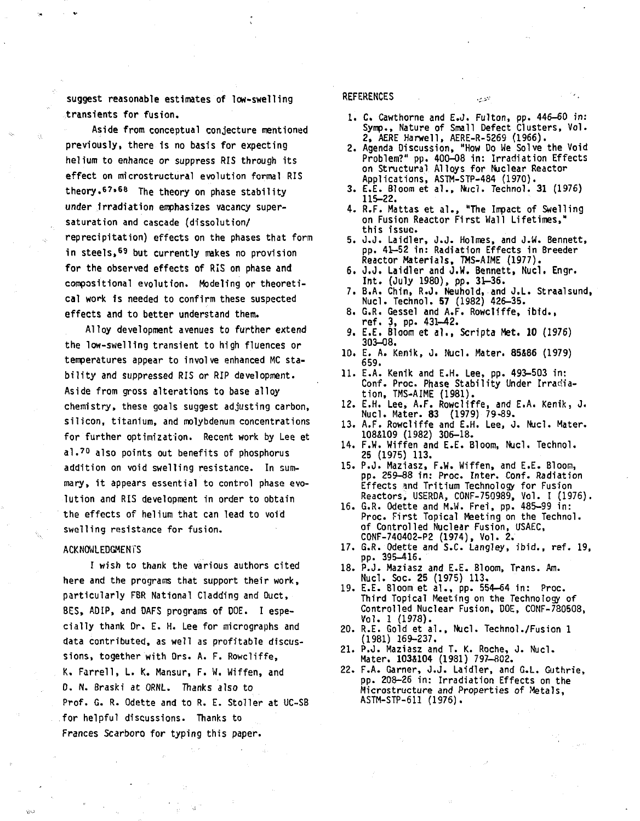**suggest reasonable estimates of low-swelling transients for fusion.**

**Aside from conceptual conjecture mentioned previously, there is no basis for expecting helium to enhance or suppress RIS through its effect on microstructural evolution formal RIS theory.6 7\* <sup>68</sup> The theory on phase stability under irradiation emphasizes vacancy supersaturation and cascade (dissolution/ reprecipitation) effects on the phases that form in steels,<sup>69</sup> but currently makes no provision for the observed effects of RIS on phase and compositional evolution. Modeling or theoretical work is needed to confirm these suspected effects and to better understand them.**

**Alloy development avenues to further extend the low-swelling transient to high fluences or temperatures appear to involve enhanced MC stability and suppressed RIS or RIP development. Aside from gross alterations to base alloy chemistry, these goals suggest adjusting carbon, silicon, titanium, and molybdenum concentrations for further optimization. Recent work by Lee et al.<sup>7</sup> <sup>0</sup> also points out benefits of phosphorus addition on void swelling resistance. In summary, it appears essential to control phase evolution and RIS development in order to obtain the effects of helium that can lead to void swelling resistance for fusion.**

### **ACKNOWLEDGMENTS**

**I wish to thank the various authors cited here and the programs that support their work, particularly FBR National Cladding and Ouct, BES, ADIP, and DAFS programs of DOE. I especially thank Dr. E. H. Lee for micrographs and data contributed, as well as profitable discussions, together with Drs. A. F. Rowcliffe, K. Farrell, L. K. Mansur, F. M. Wiffen, and D. N. Braski at ORNL. Thanks also to Prof. G. R. Odette and to R. E. Stoller at UC-SB for helpful discussions. Thanks to Frances Scarboro for typing this paper.**

## **REFERENCES .,.,..- '•**

- 1. C. Cawthorne and E.J. Fulton, pp. 446-60 in : Symp., Nature of Small Defect Clusters, Vol. 2, AERE Harwell, AERE-R-5269 (1966).
- 2. Agenda Discussion, "How Do We Solve the Void Problem?" pp. 400—08 in: Irradiation Effects on Structural Alloys for Nuclear Reactor Applications, ASTM-STP-484 (1970).
- 3. E.E. Bloom et al. , Nucl. Technol. 31 (1976) 115-22.
- 4. R.F. Hattas et al. , "The Impact of Swelling on Fusion Reactor First Wall Lifetimes," this issue.
- 5. J.J. Laidler, J.J. Holmes, and J.W. Bennett, pp. 41-52 in: Radiation Effects in Breeder Reactor Materials, TMS-AIME (1977).
- 6. J.J. Laidler and J.W. Bennett, Nucl. Engr. Int . (July 1980), pp. 3t-36.
- 7. B.A. Chin, R.J. Neuhold, and J.L. Straalsund, Nucl. Technol. 57 (1982) 426-35.
- 8. G.R. Gessel and A.F. Rowcliffe, ibid. , ref . 3, pp. 431-42.
- 9. E.E. Bloom et al. , Scripta Met. 10 (1976) 303-08.
- 10. E. A. Kenik, J. Nucl. Mater. 85&86 (1979) 659.
- 1 1. E.A. Kenik and E.H. Lee, pp. 493-503 in: Conf. Proc. Phase Stability Under Irradiation, TMS-AIME (1981).
- 12. E.H. Lee, A.F. Rowcliffe, and E.A. Kenik, J. Nucl. Mater. 83 (1979) 79-89.
- 13. A.F. Rowcliffe and E.H. Lee, J. Nucl. Mater. 108&109 (1982) 306-18.
- 14. F.w". Wiffen and E.E. Bloom, Nucl. Technol. 25 (1975) 113.
- 15. P.J. Maziasz, F.W. Wiffen, and E.E. Bloom, pp. 259-88 in: Proc. Inter. Conf. Radiation Effects and Tritium Technology for Fusion Reactors, USERDA, CONF-750989, Vol. I (1976).
- 16. G.R. Odette and M.W. Frei, pp. 485-99 in : Proc. First Topical Meeting on the Technol. of Controlled Nuclear Fusion, USAEC, C0NF-740402-P2 (1974), Vol. 2.
- 17. G.R. Odette and S.C. Langley, ibid. , ref. 19, pp. 395-416.
- 18. P.J. Maziasz and E.E. Bloom, Trans. Am. Nucl. Soc. 25 (1975) 113.
- 19. E.E. Bloom et al., pp. 554-64 in: Proc. Third Topical Meeting on the Technology of Controlled Nuclear Fusion, DOE, CONF-780508, Vol. 1 (1978).
- 20. R.E. Gold et al. , Nucl. Technol./Fusion 1 (1981) 169-237.
- 21. P.J. Maziasz and T. K. Roche, J. Nucl. Mater. 1038104 (1981) 797-802.
- 22. F.A. Garner, J.J. Laidler, and G.L. Guthrie, pp. 208-26 in: Irradiation Effects on the Microstructure and Properties of Metals, ASTM-STP-611 (1976).